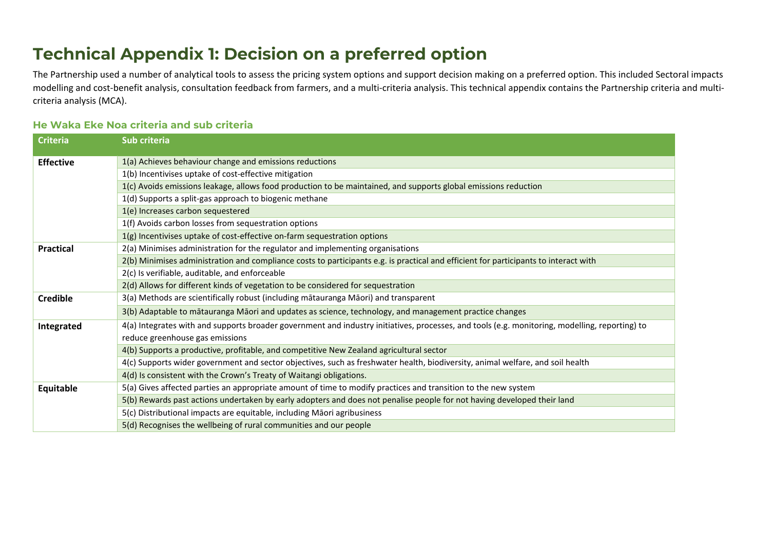# **Technical Appendix 1: Decision on a preferred option**

The Partnership used a number of analytical tools to assess the pricing system options and support decision making on a preferred option. This included Sectoral impacts modelling and cost-benefit analysis, consultation feedback from farmers, and a multi-criteria analysis. This technical appendix contains the Partnership criteria and multicriteria analysis (MCA).

# **He Waka Eke Noa criteria and sub criteria**

| <b>Criteria</b>  | Sub criteria                                                                                                                                   |
|------------------|------------------------------------------------------------------------------------------------------------------------------------------------|
| <b>Effective</b> | 1(a) Achieves behaviour change and emissions reductions                                                                                        |
|                  | 1(b) Incentivises uptake of cost-effective mitigation                                                                                          |
|                  | 1(c) Avoids emissions leakage, allows food production to be maintained, and supports global emissions reduction                                |
|                  | 1(d) Supports a split-gas approach to biogenic methane                                                                                         |
|                  | 1(e) Increases carbon sequestered                                                                                                              |
|                  | 1(f) Avoids carbon losses from sequestration options                                                                                           |
|                  | 1(g) Incentivises uptake of cost-effective on-farm sequestration options                                                                       |
| <b>Practical</b> | 2(a) Minimises administration for the regulator and implementing organisations                                                                 |
|                  | 2(b) Minimises administration and compliance costs to participants e.g. is practical and efficient for participants to interact with           |
|                  | 2(c) Is verifiable, auditable, and enforceable                                                                                                 |
|                  | 2(d) Allows for different kinds of vegetation to be considered for sequestration                                                               |
| <b>Credible</b>  | 3(a) Methods are scientifically robust (including matauranga Maori) and transparent                                                            |
|                  | 3(b) Adaptable to mātauranga Māori and updates as science, technology, and management practice changes                                         |
| Integrated       | 4(a) Integrates with and supports broader government and industry initiatives, processes, and tools (e.g. monitoring, modelling, reporting) to |
|                  | reduce greenhouse gas emissions                                                                                                                |
|                  | 4(b) Supports a productive, profitable, and competitive New Zealand agricultural sector                                                        |
|                  | 4(c) Supports wider government and sector objectives, such as freshwater health, biodiversity, animal welfare, and soil health                 |
|                  | 4(d) Is consistent with the Crown's Treaty of Waitangi obligations.                                                                            |
| Equitable        | 5(a) Gives affected parties an appropriate amount of time to modify practices and transition to the new system                                 |
|                  | 5(b) Rewards past actions undertaken by early adopters and does not penalise people for not having developed their land                        |
|                  | 5(c) Distributional impacts are equitable, including Māori agribusiness                                                                        |
|                  | 5(d) Recognises the wellbeing of rural communities and our people                                                                              |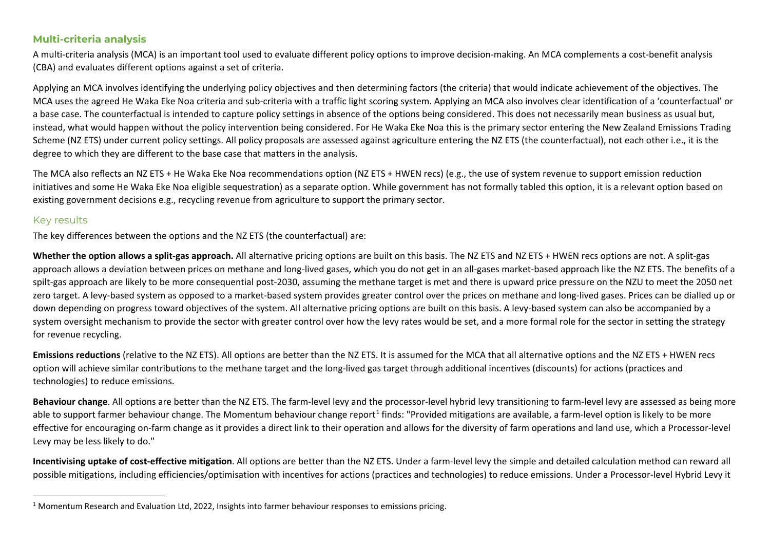## <span id="page-1-0"></span>**Multi-criteria analysis**

A multi-criteria analysis (MCA) is an important tool used to evaluate different policy options to improve decision-making. An MCA complements a cost-benefit analysis (CBA) and evaluates different options against a set of criteria.

Applying an MCA involves identifying the underlying policy objectives and then determining factors (the criteria) that would indicate achievement of the objectives. The MCA uses the agreed He Waka Eke Noa criteria and sub-criteria with a traffic light scoring system. Applying an MCA also involves clear identification of a 'counterfactual' or a base case. The counterfactual is intended to capture policy settings in absence of the options being considered. This does not necessarily mean business as usual but, instead, what would happen without the policy intervention being considered. For He Waka Eke Noa this is the primary sector entering the New Zealand Emissions Trading Scheme (NZ ETS) under current policy settings. All policy proposals are assessed against agriculture entering the NZ ETS (the counterfactual), not each other i.e., it is the degree to which they are different to the base case that matters in the analysis.

The MCA also reflects an NZ ETS + He Waka Eke Noa recommendations option (NZ ETS + HWEN recs) (e.g., the use of system revenue to support emission reduction initiatives and some He Waka Eke Noa eligible sequestration) as a separate option. While government has not formally tabled this option, it is a relevant option based on existing government decisions e.g., recycling revenue from agriculture to support the primary sector.

### Key results

The key differences between the options and the NZ ETS (the counterfactual) are:

**Whether the option allows a split-gas approach.** All alternative pricing options are built on this basis. The NZ ETS and NZ ETS + HWEN recs options are not. A split-gas approach allows a deviation between prices on methane and long-lived gases, which you do not get in an all-gases market-based approach like the NZ ETS. The benefits of a spilt-gas approach are likely to be more consequential post-2030, assuming the methane target is met and there is upward price pressure on the NZU to meet the 2050 net zero target. A levy-based system as opposed to a market-based system provides greater control over the prices on methane and long-lived gases. Prices can be dialled up or down depending on progress toward objectives of the system. All alternative pricing options are built on this basis. A levy-based system can also be accompanied by a system oversight mechanism to provide the sector with greater control over how the levy rates would be set, and a more formal role for the sector in setting the strategy for revenue recycling.

**Emissions reductions** (relative to the NZ ETS). All options are better than the NZ ETS. It is assumed for the MCA that all alternative options and the NZ ETS + HWEN recs option will achieve similar contributions to the methane target and the long-lived gas target through additional incentives (discounts) for actions (practices and technologies) to reduce emissions.

**Behaviour change**. All options are better than the NZ ETS. The farm-level levy and the processor-level hybrid levy transitioning to farm-level levy are assessed as being more able to support farmer behaviour change. The Momentum behaviour change report<sup>[1](#page-1-0)</sup> finds: "Provided mitigations are available, a farm-level option is likely to be more effective for encouraging on-farm change as it provides a direct link to their operation and allows for the diversity of farm operations and land use, which a Processor-level Levy may be less likely to do."

**Incentivising uptake of cost-effective mitigation**. All options are better than the NZ ETS. Under a farm-level levy the simple and detailed calculation method can reward all possible mitigations, including efficiencies/optimisation with incentives for actions (practices and technologies) to reduce emissions. Under a Processor-level Hybrid Levy it

 $1$  Momentum Research and Evaluation Ltd, 2022, Insights into farmer behaviour responses to emissions pricing.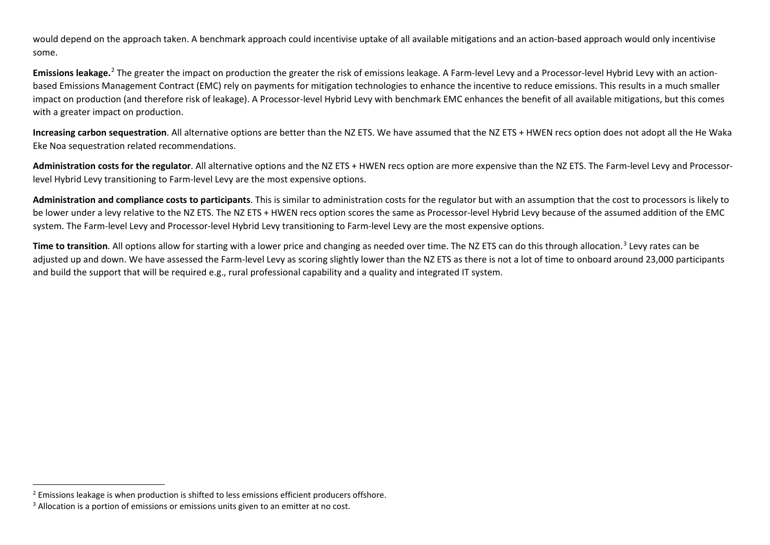<span id="page-2-1"></span><span id="page-2-0"></span>would depend on the approach taken. A benchmark approach could incentivise uptake of all available mitigations and an action-based approach would only incentivise some.

**Emissions leakage.** [2](#page-2-0) The greater the impact on production the greater the risk of emissions leakage. A Farm-level Levy and a Processor-level Hybrid Levy with an actionbased Emissions Management Contract (EMC) rely on payments for mitigation technologies to enhance the incentive to reduce emissions. This results in a much smaller impact on production (and therefore risk of leakage). A Processor-level Hybrid Levy with benchmark EMC enhances the benefit of all available mitigations, but this comes with a greater impact on production.

**Increasing carbon sequestration**. All alternative options are better than the NZ ETS. We have assumed that the NZ ETS + HWEN recs option does not adopt all the He Waka Eke Noa sequestration related recommendations.

**Administration costs for the regulator**. All alternative options and the NZ ETS + HWEN recs option are more expensive than the NZ ETS. The Farm-level Levy and Processorlevel Hybrid Levy transitioning to Farm-level Levy are the most expensive options.

**Administration and compliance costs to participants**. This is similar to administration costs for the regulator but with an assumption that the cost to processors is likely to be lower under a levy relative to the NZ ETS. The NZ ETS + HWEN recs option scores the same as Processor-level Hybrid Levy because of the assumed addition of the EMC system. The Farm-level Levy and Processor-level Hybrid Levy transitioning to Farm-level Levy are the most expensive options.

**Time to transition**. All options allow for starting with a lower price and changing as needed over time. The NZ ETS can do this through allocation. [3](#page-2-1) Levy rates can be adjusted up and down. We have assessed the Farm-level Levy as scoring slightly lower than the NZ ETS as there is not a lot of time to onboard around 23,000 participants and build the support that will be required e.g., rural professional capability and a quality and integrated IT system.

 $2$  Emissions leakage is when production is shifted to less emissions efficient producers offshore.

 $3$  Allocation is a portion of emissions or emissions units given to an emitter at no cost.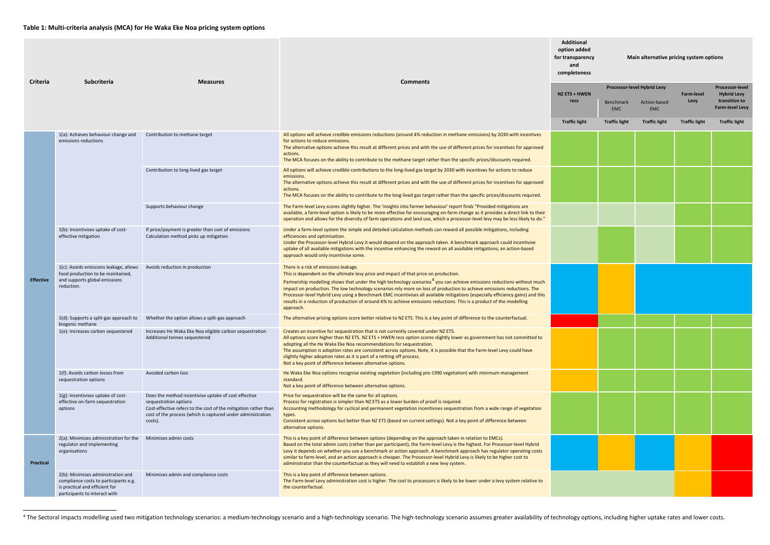<span id="page-3-0"></span>

|                  |                                                                                                                                                | <b>Measures</b>                                                                                                                                                                                                            |                                                                                                                                                                                                                                                                                                                                                                                                                                                                                                                                                                                                                                                                          |                      | <b>Additional</b><br>option added<br>for transparency<br>Main alternative pricing system options<br>and<br>completeness |                            |                      |                                              |  |
|------------------|------------------------------------------------------------------------------------------------------------------------------------------------|----------------------------------------------------------------------------------------------------------------------------------------------------------------------------------------------------------------------------|--------------------------------------------------------------------------------------------------------------------------------------------------------------------------------------------------------------------------------------------------------------------------------------------------------------------------------------------------------------------------------------------------------------------------------------------------------------------------------------------------------------------------------------------------------------------------------------------------------------------------------------------------------------------------|----------------------|-------------------------------------------------------------------------------------------------------------------------|----------------------------|----------------------|----------------------------------------------|--|
| <b>Criteria</b>  | <b>Subcriteria</b>                                                                                                                             |                                                                                                                                                                                                                            | <b>Comments</b>                                                                                                                                                                                                                                                                                                                                                                                                                                                                                                                                                                                                                                                          | NZ ETS + HWEN        | Processor-level Hybrid Levy                                                                                             |                            | <b>Farm-level</b>    | <b>Processor-level</b><br><b>Hybrid Levy</b> |  |
|                  |                                                                                                                                                |                                                                                                                                                                                                                            |                                                                                                                                                                                                                                                                                                                                                                                                                                                                                                                                                                                                                                                                          | recs                 | <b>Benchmark</b><br><b>EMC</b>                                                                                          | Action-based<br><b>EMC</b> | Levy                 | transition to<br><b>Farm-level Levy</b>      |  |
|                  |                                                                                                                                                |                                                                                                                                                                                                                            |                                                                                                                                                                                                                                                                                                                                                                                                                                                                                                                                                                                                                                                                          | <b>Traffic light</b> | <b>Traffic light</b>                                                                                                    | <b>Traffic light</b>       | <b>Traffic light</b> | <b>Traffic light</b>                         |  |
|                  | 1(a): Achieves behaviour change and<br>emissions reductions                                                                                    | Contribution to methane target                                                                                                                                                                                             | All options will achieve credible emissions reductions (around 4% reduction in methane emissions) by 2030 with incentives<br>for actions to reduce emissions.<br>The alternative options achieve this result at different prices and with the use of different prices for incentives for approved<br>actions.<br>The MCA focuses on the ability to contribute to the methane target rather than the specific prices/discounts required.                                                                                                                                                                                                                                  |                      |                                                                                                                         |                            |                      |                                              |  |
|                  |                                                                                                                                                | Contribution to long-lived gas target                                                                                                                                                                                      | All options will achieve credible contributions to the long-lived gas target by 2030 with incentives for actions to reduce                                                                                                                                                                                                                                                                                                                                                                                                                                                                                                                                               |                      |                                                                                                                         |                            |                      |                                              |  |
| <b>Effective</b> |                                                                                                                                                |                                                                                                                                                                                                                            | emissions.<br>The alternative options achieve this result at different prices and with the use of different prices for incentives for approved<br>actions.<br>The MCA focuses on the ability to contribute to the long-lived gas target rather than the specific prices/discounts required.                                                                                                                                                                                                                                                                                                                                                                              |                      |                                                                                                                         |                            |                      |                                              |  |
|                  |                                                                                                                                                | Supports behaviour change                                                                                                                                                                                                  | The Farm-level Levy scores slightly higher. The 'insights into farmer behaviour' report finds "Provided mitigations are<br>available, a farm-level option is likely to be more effective for encouraging on-farm change as it provides a direct link to their<br>operation and allows for the diversity of farm operations and land use, which a processor-level levy may be less likely to do."                                                                                                                                                                                                                                                                         |                      |                                                                                                                         |                            |                      |                                              |  |
|                  | 1(b): Incentivises uptake of cost-<br>effective mitigation                                                                                     | If price/payment is greater than cost of emissions<br>Calculation method picks up mitigation                                                                                                                               | Under a farm-level system the simple and detailed calculation methods can reward all possible mitigations, including<br>efficiencies and optimisation.<br>Under the Processor-level Hybrid Levy it would depend on the approach taken. A benchmark approach could incentivise<br>uptake of all available mitigations with the incentive enhancing the reward on all available mitigations; an action-based<br>approach would only incentivise some.                                                                                                                                                                                                                      |                      |                                                                                                                         |                            |                      |                                              |  |
|                  | 1(c): Avoids emissions leakage, allows<br>food production to be maintained,<br>and supports global emissions<br>reduction.                     | Avoids reduction in production                                                                                                                                                                                             | There is a risk of emissions leakage.<br>This is dependent on the ultimate levy price and impact of that price on production.<br>Partnership modelling shows that under the high technology scenarios <sup>4</sup> you can achieve emissions reductions without much<br>impact on production. The low technology scenarios rely more on loss of production to achieve emissions reductions. The<br>Processor-level Hybrid Levy using a Benchmark EMC incentivises all available mitigations (especially efficiency gains) and this<br>results in a reduction of production of around 6% to achieve emissions reductions. This is a product of the modelling<br>approach. |                      |                                                                                                                         |                            |                      |                                              |  |
|                  | biogenic methane                                                                                                                               | 1(d): Supports a split-gas approach to Whether the option allows a split-gas approach                                                                                                                                      | The alternative pricing options score better relative to NZ ETS. This is a key point of difference to the counterfactual.                                                                                                                                                                                                                                                                                                                                                                                                                                                                                                                                                |                      |                                                                                                                         |                            |                      |                                              |  |
|                  | 1(e): Increases carbon sequestered                                                                                                             | Increases He Waka Eke Noa eligible carbon sequestration<br>Additional tonnes sequestered                                                                                                                                   | Creates an incentive for sequestration that is not currently covered under NZ ETS.<br>All options score higher than NZ ETS. NZ ETS + HWEN recs option scores slightly lower as government has not committed to<br>adopting all the He Waka Eke Noa recommendations for sequestration.<br>The assumption is adoption rates are consistent across options. Note, it is possible that the Farm-level Levy could have<br>slightly higher adoption rates as it is part of a netting off process.<br>Not a key point of difference between alternative options.                                                                                                                |                      |                                                                                                                         |                            |                      |                                              |  |
|                  | 1(f): Avoids carbon losses from<br>sequestration options                                                                                       | Avoided carbon loss                                                                                                                                                                                                        | He Waka Eke Noa options recognise existing vegetation (including pre-1990 vegetation) with minimum management<br>standard.<br>Not a key point of difference between alternative options.                                                                                                                                                                                                                                                                                                                                                                                                                                                                                 |                      |                                                                                                                         |                            |                      |                                              |  |
|                  | 1(g): Incentivises uptake of cost-<br>effective on-farm sequestration<br>options                                                               | Does the method incentivise uptake of cost effective<br>sequestration options<br>Cost-effective refers to the cost of the mitigation rather thar<br>cost of the process (which is captured under administration<br>costs). | Price for sequestration will be the same for all options.<br>Process for registration is simpler than NZ ETS as a lower burden of proof is required.<br>Accounting methodology for cyclical and permanent vegetation incentivises sequestration from a wide range of vegetation<br>types.<br>Consistent across options but better than NZ ETS (based on current settings). Not a key point of difference between<br>alternative options.                                                                                                                                                                                                                                 |                      |                                                                                                                         |                            |                      |                                              |  |
| <b>Practical</b> | 2(a): Minimises administration for the<br>regulator and implementing<br>organisations                                                          | Minimises admin costs                                                                                                                                                                                                      | This is a key point of difference between options (depending on the approach taken in relation to EMCs).<br>Based on the total admin costs (rather than per participant), the Farm-level Levy is the highest. For Processor-level Hybrid<br>Levy it depends on whether you use a benchmark or action approach. A benchmark approach has regulator operating costs<br>similar to farm-level, and an action approach is cheaper. The Processor-level Hybrid Levy is likely to be higher cost to<br>administrator than the counterfactual as they will need to establish a new levy system.                                                                                 |                      |                                                                                                                         |                            |                      |                                              |  |
|                  | 2(b): Minimises administration and<br>compliance costs to participants e.g.<br>is practical and efficient for<br>participants to interact with | Minimises admin and compliance costs                                                                                                                                                                                       | This is a key point of difference between options.<br>The Farm-level Levy administration cost is higher. The cost to processors is likely to be lower under a levy system relative to<br>the counterfactual.                                                                                                                                                                                                                                                                                                                                                                                                                                                             |                      |                                                                                                                         |                            |                      |                                              |  |

<sup>&</sup>lt;sup>4</sup> The Sectoral impacts modelling used two mitigation technology scenarios: a medium-technology scenario and a high-technology scenario. The high-technology scenario assumes greater availability of technology options, inc